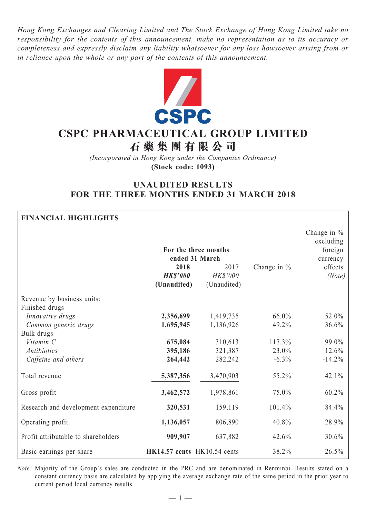*Hong Kong Exchanges and Clearing Limited and The Stock Exchange of Hong Kong Limited take no responsibility for the contents of this announcement, make no representation as to its accuracy or completeness and expressly disclaim any liability whatsoever for any loss howsoever arising from or in reliance upon the whole or any part of the contents of this announcement.*



# **CSPC Pharmaceutical Group Limited**

**石 藥 集 團 有 限 公 司**

*(Incorporated in Hong Kong under the Companies Ordinance)* **(Stock code: 1093)**

# **UNAUDITED RESULTS FOR THE THREE MONTHS ENDED 31 MARCH 2018**

# **Financial Highlights**

|                                      |                             | For the three months<br>ended 31 March |                | Change in $%$<br>excluding<br>foreign<br>currency |  |
|--------------------------------------|-----------------------------|----------------------------------------|----------------|---------------------------------------------------|--|
|                                      | 2018                        | 2017                                   | Change in $\%$ | effects                                           |  |
|                                      | <b>HK\$'000</b>             | HK\$'000                               |                | (Note)                                            |  |
|                                      | (Unaudited)                 | (Unaudited)                            |                |                                                   |  |
| Revenue by business units:           |                             |                                        |                |                                                   |  |
| Finished drugs                       |                             |                                        |                |                                                   |  |
| Innovative drugs                     | 2,356,699                   | 1,419,735                              | 66.0%          | 52.0%                                             |  |
| Common generic drugs                 | 1,695,945                   | 1,136,926                              | 49.2%          | 36.6%                                             |  |
| Bulk drugs                           |                             |                                        |                |                                                   |  |
| Vitamin C                            | 675,084                     | 310,613                                | 117.3%         | 99.0%                                             |  |
| Antibiotics                          | 395,186                     | 321,387                                | 23.0%          | 12.6%                                             |  |
| Caffeine and others                  | 264,442                     | 282,242                                | $-6.3\%$       | $-14.2%$                                          |  |
| Total revenue                        | 5,387,356                   | 3,470,903                              | 55.2%          | 42.1%                                             |  |
| Gross profit                         | 3,462,572                   | 1,978,861                              | 75.0%          | 60.2%                                             |  |
| Research and development expenditure | 320,531                     | 159,119                                | 101.4%         | 84.4%                                             |  |
| Operating profit                     | 1,136,057                   | 806,890                                | 40.8%          | 28.9%                                             |  |
| Profit attributable to shareholders  | 909,907                     | 637,882                                | 42.6%          | 30.6%                                             |  |
| Basic earnings per share             | HK14.57 cents HK10.54 cents |                                        | 38.2%          | 26.5%                                             |  |

*Note:* Majority of the Group's sales are conducted in the PRC and are denominated in Renminbi. Results stated on a constant currency basis are calculated by applying the average exchange rate of the same period in the prior year to current period local currency results.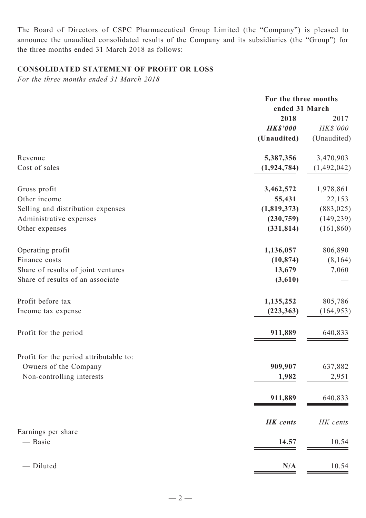The Board of Directors of CSPC Pharmaceutical Group Limited (the "Company") is pleased to announce the unaudited consolidated results of the Company and its subsidiaries (the "Group") for the three months ended 31 March 2018 as follows:

# **CONSOLIDATED STATEMENT OF PROFIT OR LOSS**

*For the three months ended 31 March 2018*

|                                        | For the three months<br>ended 31 March |             |  |
|----------------------------------------|----------------------------------------|-------------|--|
|                                        | 2018                                   | 2017        |  |
|                                        | <b>HK\$'000</b>                        | HK\$'000    |  |
|                                        | (Unaudited)                            | (Unaudited) |  |
| Revenue                                | 5,387,356                              | 3,470,903   |  |
| Cost of sales                          | (1, 924, 784)                          | (1,492,042) |  |
| Gross profit                           | 3,462,572                              | 1,978,861   |  |
| Other income                           | 55,431                                 | 22,153      |  |
| Selling and distribution expenses      | (1,819,373)                            | (883, 025)  |  |
| Administrative expenses                | (230,759)                              | (149, 239)  |  |
| Other expenses                         | (331, 814)                             | (161, 860)  |  |
| Operating profit                       | 1,136,057                              | 806,890     |  |
| Finance costs                          | (10, 874)                              | (8, 164)    |  |
| Share of results of joint ventures     | 13,679                                 | 7,060       |  |
| Share of results of an associate       | (3,610)                                |             |  |
| Profit before tax                      | 1,135,252                              | 805,786     |  |
| Income tax expense                     | (223, 363)                             | (164, 953)  |  |
| Profit for the period                  | 911,889                                | 640,833     |  |
| Profit for the period attributable to: |                                        |             |  |
| Owners of the Company                  | 909,907                                | 637,882     |  |
| Non-controlling interests              | 1,982                                  | 2,951       |  |
|                                        | 911,889                                | 640,833     |  |
|                                        | <b>HK</b> cents                        | HK cents    |  |
| Earnings per share                     |                                        |             |  |
| — Basic                                | 14.57                                  | 10.54       |  |
| - Diluted                              | N/A                                    | 10.54       |  |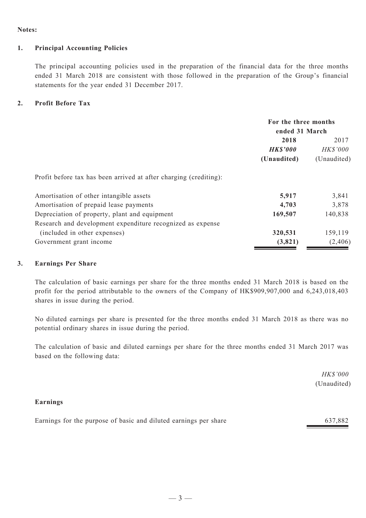#### **Notes:**

#### **1. Principal Accounting Policies**

The principal accounting policies used in the preparation of the financial data for the three months ended 31 March 2018 are consistent with those followed in the preparation of the Group's financial statements for the year ended 31 December 2017.

#### **2. Profit Before Tax**

|                                                                   | For the three months<br>ended 31 March |                 |  |
|-------------------------------------------------------------------|----------------------------------------|-----------------|--|
|                                                                   | 2018                                   | 2017            |  |
|                                                                   | <b>HK\$'000</b>                        | <b>HK\$'000</b> |  |
|                                                                   | (Unaudited)                            | (Unaudited)     |  |
| Profit before tax has been arrived at after charging (crediting): |                                        |                 |  |
| Amortisation of other intangible assets                           | 5,917                                  | 3,841           |  |
| Amortisation of prepaid lease payments                            | 4,703                                  | 3,878           |  |
| Depreciation of property, plant and equipment                     | 169,507                                | 140,838         |  |
| Research and development expenditure recognized as expense        |                                        |                 |  |
| (included in other expenses)                                      | 320,531                                | 159,119         |  |
| Government grant income                                           | (3,821)                                | (2,406)         |  |

# **3. Earnings Per Share**

The calculation of basic earnings per share for the three months ended 31 March 2018 is based on the profit for the period attributable to the owners of the Company of HK\$909,907,000 and 6,243,018,403 shares in issue during the period.

No diluted earnings per share is presented for the three months ended 31 March 2018 as there was no potential ordinary shares in issue during the period.

The calculation of basic and diluted earnings per share for the three months ended 31 March 2017 was based on the following data:

> *HK\$'000* (Unaudited)

#### **Earnings**

| 637,882 |
|---------|
|         |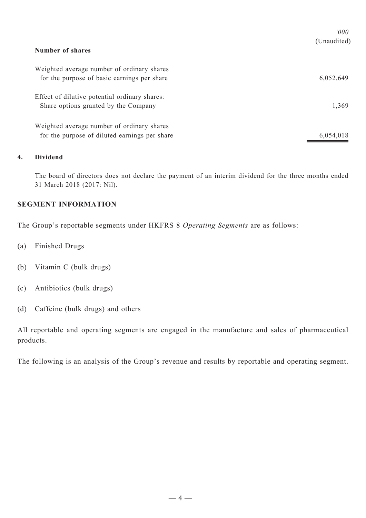|                                               | 000'        |
|-----------------------------------------------|-------------|
|                                               | (Unaudited) |
| Number of shares                              |             |
| Weighted average number of ordinary shares    |             |
| for the purpose of basic earnings per share   | 6,052,649   |
| Effect of dilutive potential ordinary shares: |             |
| Share options granted by the Company          | 1,369       |
| Weighted average number of ordinary shares    |             |
| for the purpose of diluted earnings per share | 6,054,018   |

# **4. Dividend**

The board of directors does not declare the payment of an interim dividend for the three months ended 31 March 2018 (2017: Nil).

# **SEGMENT INFORMATION**

The Group's reportable segments under HKFRS 8 *Operating Segments* are as follows:

- (a) Finished Drugs
- (b) Vitamin C (bulk drugs)
- (c) Antibiotics (bulk drugs)
- (d) Caffeine (bulk drugs) and others

All reportable and operating segments are engaged in the manufacture and sales of pharmaceutical products.

The following is an analysis of the Group's revenue and results by reportable and operating segment.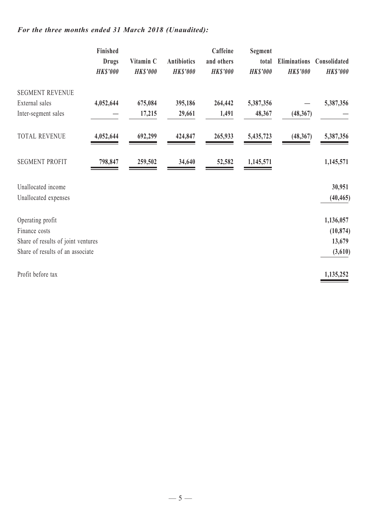# *For the three months ended 31 March 2018 (Unaudited):*

|                                    | Finished<br><b>Drugs</b><br><b>HK\$'000</b> | Vitamin C<br><b>HK\$'000</b> | <b>Antibiotics</b><br><b>HK\$'000</b> | Caffeine<br>and others<br><b>HK\$'000</b> | Segment<br>total<br><b>HK\$'000</b> | <b>Eliminations</b><br><b>HK\$'000</b> | Consolidated<br><b>HK\$'000</b> |
|------------------------------------|---------------------------------------------|------------------------------|---------------------------------------|-------------------------------------------|-------------------------------------|----------------------------------------|---------------------------------|
| <b>SEGMENT REVENUE</b>             |                                             |                              |                                       |                                           |                                     |                                        |                                 |
| External sales                     | 4,052,644                                   | 675,084                      | 395,186                               | 264,442                                   | 5,387,356                           |                                        | 5,387,356                       |
| Inter-segment sales                |                                             | 17,215                       | 29,661                                | 1,491                                     | 48,367                              | (48, 367)                              |                                 |
| <b>TOTAL REVENUE</b>               | 4,052,644                                   | 692,299                      | 424,847                               | 265,933                                   | 5,435,723                           | (48, 367)                              | 5,387,356                       |
| <b>SEGMENT PROFIT</b>              | 798,847                                     | 259,502                      | 34,640                                | 52,582                                    | 1,145,571                           |                                        | 1,145,571                       |
| Unallocated income                 |                                             |                              |                                       |                                           |                                     |                                        | 30,951                          |
| Unallocated expenses               |                                             |                              |                                       |                                           |                                     |                                        | (40, 465)                       |
| Operating profit                   |                                             |                              |                                       |                                           |                                     |                                        | 1,136,057                       |
| Finance costs                      |                                             |                              |                                       |                                           |                                     |                                        | (10, 874)                       |
| Share of results of joint ventures |                                             |                              |                                       |                                           |                                     |                                        | 13,679                          |
| Share of results of an associate   |                                             |                              |                                       |                                           |                                     |                                        | (3,610)                         |
| Profit before tax                  |                                             |                              |                                       |                                           |                                     |                                        | 1,135,252                       |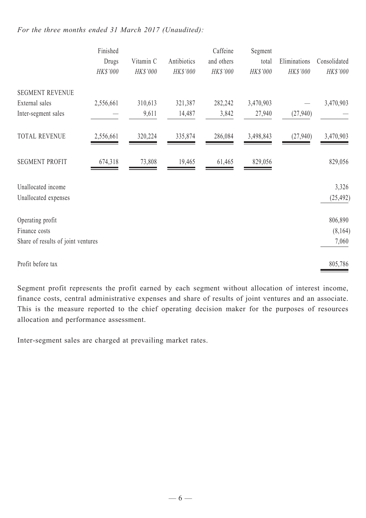# *For the three months ended 31 March 2017 (Unaudited):*

|                                    | Finished<br>Drugs<br>HK\$'000 | Vitamin C<br>HK\$'000 | Antibiotics<br>HK\$'000 | Caffeine<br>and others<br>HK\$'000 | Segment<br>total<br>HK\$'000 | Eliminations<br>HK\$'000 | Consolidated<br>HK\$'000 |
|------------------------------------|-------------------------------|-----------------------|-------------------------|------------------------------------|------------------------------|--------------------------|--------------------------|
| <b>SEGMENT REVENUE</b>             |                               |                       |                         |                                    |                              |                          |                          |
| External sales                     | 2,556,661                     | 310,613               | 321,387                 | 282,242                            | 3,470,903                    |                          | 3,470,903                |
| Inter-segment sales                |                               | 9,611                 | 14,487                  | 3,842                              | 27,940                       | (27,940)                 |                          |
| <b>TOTAL REVENUE</b>               | 2,556,661                     | 320,224               | 335,874                 | 286,084                            | 3,498,843                    | (27,940)                 | 3,470,903                |
| <b>SEGMENT PROFIT</b>              | 674,318                       | 73,808                | 19,465                  | 61,465                             | 829,056                      |                          | 829,056                  |
| Unallocated income                 |                               |                       |                         |                                    |                              |                          | 3,326                    |
| Unallocated expenses               |                               |                       |                         |                                    |                              |                          | (25, 492)                |
| Operating profit                   |                               |                       |                         |                                    |                              |                          | 806,890                  |
| Finance costs                      |                               |                       |                         |                                    |                              |                          | (8,164)                  |
| Share of results of joint ventures |                               |                       |                         |                                    |                              |                          | 7,060                    |
| Profit before tax                  |                               |                       |                         |                                    |                              |                          | 805,786                  |

Segment profit represents the profit earned by each segment without allocation of interest income, finance costs, central administrative expenses and share of results of joint ventures and an associate. This is the measure reported to the chief operating decision maker for the purposes of resources allocation and performance assessment.

Inter-segment sales are charged at prevailing market rates.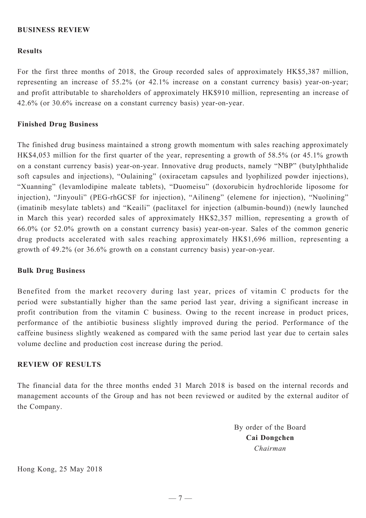# **BUSINESS REVIEW**

## **Results**

For the first three months of 2018, the Group recorded sales of approximately HK\$5,387 million, representing an increase of 55.2% (or 42.1% increase on a constant currency basis) year-on-year; and profit attributable to shareholders of approximately HK\$910 million, representing an increase of 42.6% (or 30.6% increase on a constant currency basis) year-on-year.

### **Finished Drug Business**

The finished drug business maintained a strong growth momentum with sales reaching approximately HK\$4,053 million for the first quarter of the year, representing a growth of 58.5% (or 45.1% growth on a constant currency basis) year-on-year. Innovative drug products, namely "NBP" (butylphthalide soft capsules and injections), "Oulaining" (oxiracetam capsules and lyophilized powder injections), "Xuanning" (levamlodipine maleate tablets), "Duomeisu" (doxorubicin hydrochloride liposome for injection), "Jinyouli" (PEG-rhGCSF for injection), "Ailineng" (elemene for injection), "Nuolining" (imatinib mesylate tablets) and "Keaili" (paclitaxel for injection (albumin-bound)) (newly launched in March this year) recorded sales of approximately HK\$2,357 million, representing a growth of 66.0% (or 52.0% growth on a constant currency basis) year-on-year. Sales of the common generic drug products accelerated with sales reaching approximately HK\$1,696 million, representing a growth of 49.2% (or 36.6% growth on a constant currency basis) year-on-year.

#### **Bulk Drug Business**

Benefited from the market recovery during last year, prices of vitamin C products for the period were substantially higher than the same period last year, driving a significant increase in profit contribution from the vitamin C business. Owing to the recent increase in product prices, performance of the antibiotic business slightly improved during the period. Performance of the caffeine business slightly weakened as compared with the same period last year due to certain sales volume decline and production cost increase during the period.

#### **Review of Results**

The financial data for the three months ended 31 March 2018 is based on the internal records and management accounts of the Group and has not been reviewed or audited by the external auditor of the Company.

> By order of the Board **Cai Dongchen** *Chairman*

Hong Kong, 25 May 2018